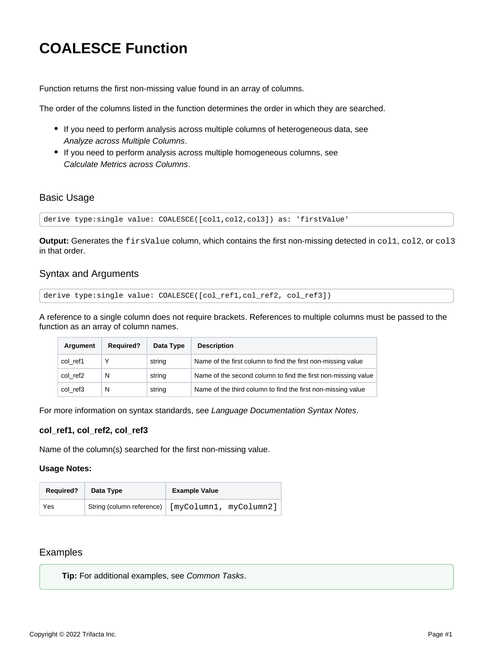# **COALESCE Function**

Function returns the first non-missing value found in an array of columns.

The order of the columns listed in the function determines the order in which they are searched.

- If you need to perform analysis across multiple columns of heterogeneous data, see [Analyze across Multiple Columns](https://docs.trifacta.com/display/r050/Analyze+across+Multiple+Columns).
- If you need to perform analysis across multiple homogeneous columns, see [Calculate Metrics across Columns](https://docs.trifacta.com/display/r050/Calculate+Metrics+across+Columns).

# Basic Usage

derive type:single value: COALESCE([col1,col2,col3]) as: 'firstValue'

**Output:** Generates the firsValue column, which contains the first non-missing detected in coll, col2, or col3 in that order.

# Syntax and Arguments

derive type:single value: COALESCE([col\_ref1,col\_ref2, col\_ref3])

A reference to a single column does not require brackets. References to multiple columns must be passed to the function as an array of column names.

| Argument | <b>Required?</b> | Data Type | <b>Description</b>                                            |
|----------|------------------|-----------|---------------------------------------------------------------|
| col ref1 |                  | string    | Name of the first column to find the first non-missing value  |
| col ref2 | N                | string    | Name of the second column to find the first non-missing value |
| col ref3 | N<br>string      |           | Name of the third column to find the first non-missing value  |

For more information on syntax standards, see [Language Documentation Syntax Notes](https://docs.trifacta.com/display/r050/Language+Documentation+Syntax+Notes).

## **col\_ref1, col\_ref2, col\_ref3**

Name of the column(s) searched for the first non-missing value.

#### **Usage Notes:**

| <b>Required?</b> | Data Type | <b>Example Value</b>                               |  |
|------------------|-----------|----------------------------------------------------|--|
| Yes              |           | String (column reference)   [myColumn1, myColumn2] |  |

## Examples

**Tip:** For additional examples, see [Common Tasks](https://docs.trifacta.com/display/r050/Common+Tasks).